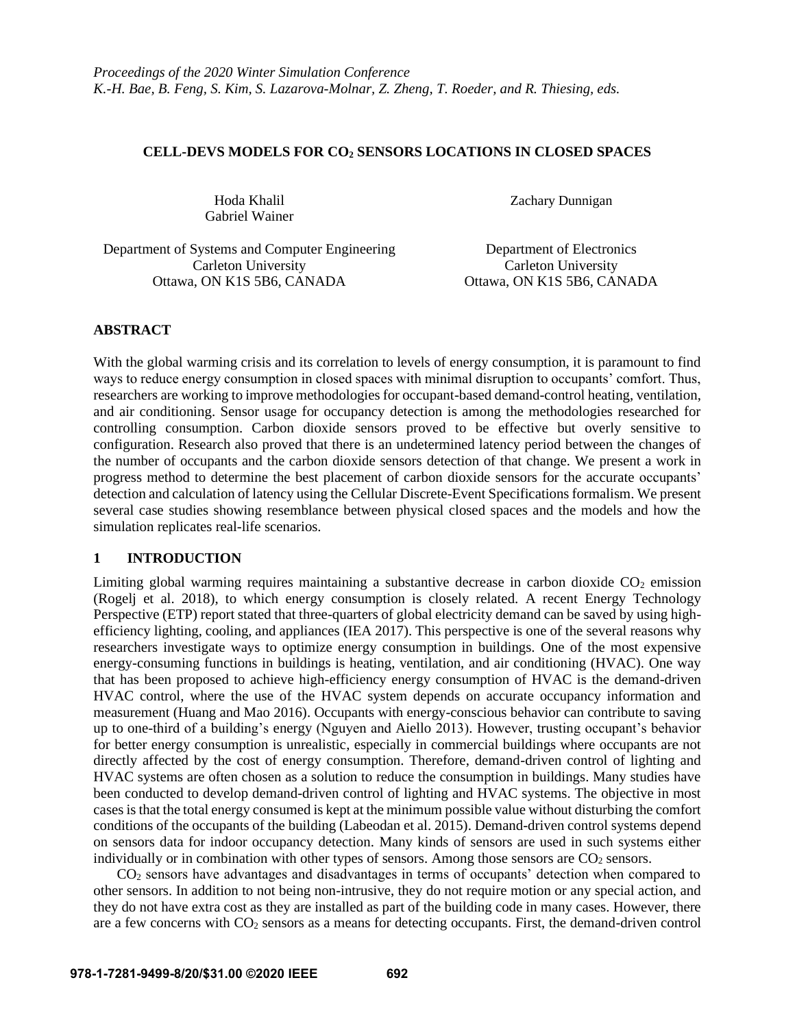## **CELL-DEVS MODELS FOR CO<sup>2</sup> SENSORS LOCATIONS IN CLOSED SPACES**

Gabriel Wainer

Hoda Khalil Zachary Dunnigan

Department of Systems and Computer Engineering Department of Electronics Carleton University Carleton University Ottawa, ON K1S 5B6, CANADA Ottawa, ON K1S 5B6, CANADA

# **ABSTRACT**

With the global warming crisis and its correlation to levels of energy consumption, it is paramount to find ways to reduce energy consumption in closed spaces with minimal disruption to occupants' comfort. Thus, researchers are working to improve methodologies for occupant-based demand-control heating, ventilation, and air conditioning. Sensor usage for occupancy detection is among the methodologies researched for controlling consumption. Carbon dioxide sensors proved to be effective but overly sensitive to configuration. Research also proved that there is an undetermined latency period between the changes of the number of occupants and the carbon dioxide sensors detection of that change. We present a work in progress method to determine the best placement of carbon dioxide sensors for the accurate occupants' detection and calculation of latency using the Cellular Discrete-Event Specifications formalism. We present several case studies showing resemblance between physical closed spaces and the models and how the simulation replicates real-life scenarios.

# **1 INTRODUCTION**

Limiting global warming requires maintaining a substantive decrease in carbon dioxide  $CO<sub>2</sub>$  emission (Rogelj et al. 2018), to which energy consumption is closely related. A recent Energy Technology Perspective (ETP) report stated that three-quarters of global electricity demand can be saved by using highefficiency lighting, cooling, and appliances (IEA 2017). This perspective is one of the several reasons why researchers investigate ways to optimize energy consumption in buildings. One of the most expensive energy-consuming functions in buildings is heating, ventilation, and air conditioning (HVAC). One way that has been proposed to achieve high-efficiency energy consumption of HVAC is the demand-driven HVAC control, where the use of the HVAC system depends on accurate occupancy information and measurement (Huang and Mao 2016). Occupants with energy-conscious behavior can contribute to saving up to one-third of a building's energy (Nguyen and Aiello 2013). However, trusting occupant's behavior for better energy consumption is unrealistic, especially in commercial buildings where occupants are not directly affected by the cost of energy consumption. Therefore, demand-driven control of lighting and HVAC systems are often chosen as a solution to reduce the consumption in buildings. Many studies have been conducted to develop demand-driven control of lighting and HVAC systems. The objective in most cases is that the total energy consumed is kept at the minimum possible value without disturbing the comfort conditions of the occupants of the building (Labeodan et al. 2015). Demand-driven control systems depend on sensors data for indoor occupancy detection. Many kinds of sensors are used in such systems either individually or in combination with other types of sensors. Among those sensors are  $CO<sub>2</sub>$  sensors.

 $CO<sub>2</sub>$  sensors have advantages and disadvantages in terms of occupants' detection when compared to other sensors. In addition to not being non-intrusive, they do not require motion or any special action, and they do not have extra cost as they are installed as part of the building code in many cases. However, there are a few concerns with CO<sub>2</sub> sensors as a means for detecting occupants. First, the demand-driven control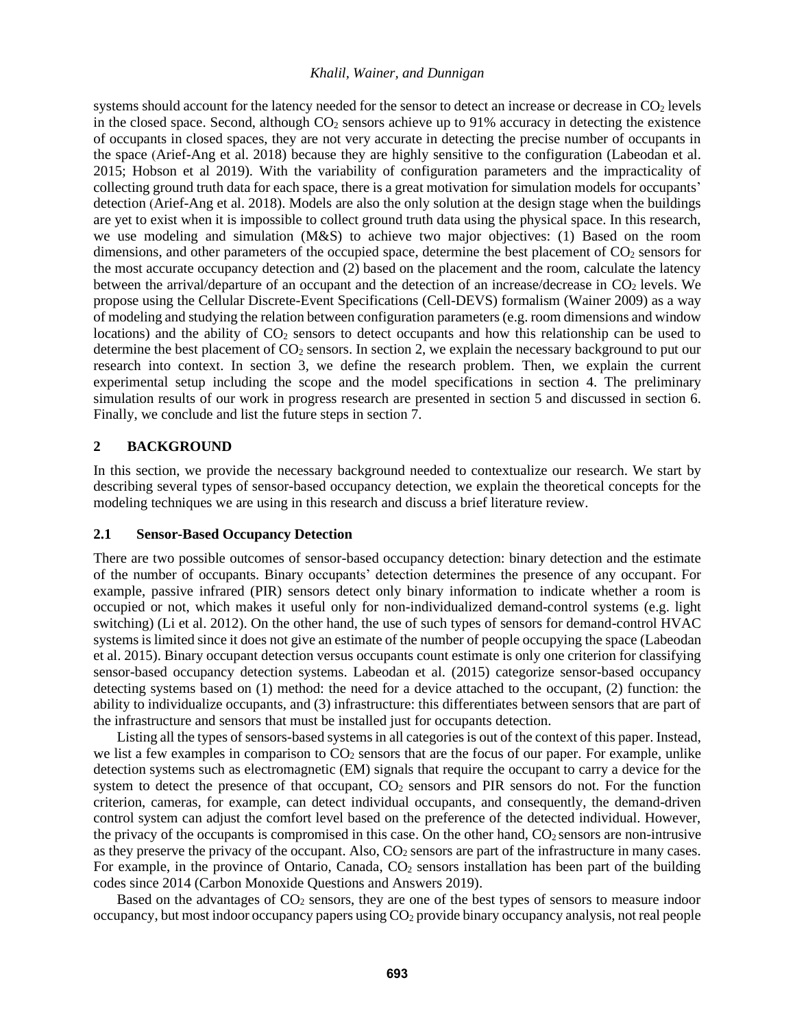systems should account for the latency needed for the sensor to detect an increase or decrease in CO<sub>2</sub> levels in the closed space. Second, although  $CO<sub>2</sub>$  sensors achieve up to 91% accuracy in detecting the existence of occupants in closed spaces, they are not very accurate in detecting the precise number of occupants in the space (Arief-Ang et al. 2018) because they are highly sensitive to the configuration (Labeodan et al. 2015; Hobson et al 2019). With the variability of configuration parameters and the impracticality of collecting ground truth data for each space, there is a great motivation for simulation models for occupants' detection (Arief-Ang et al. 2018). Models are also the only solution at the design stage when the buildings are yet to exist when it is impossible to collect ground truth data using the physical space. In this research, we use modeling and simulation (M&S) to achieve two major objectives: (1) Based on the room dimensions, and other parameters of the occupied space, determine the best placement of CO<sub>2</sub> sensors for the most accurate occupancy detection and (2) based on the placement and the room, calculate the latency between the arrival/departure of an occupant and the detection of an increase/decrease in  $CO<sub>2</sub>$  levels. We propose using the Cellular Discrete-Event Specifications (Cell-DEVS) formalism (Wainer 2009) as a way of modeling and studying the relation between configuration parameters (e.g. room dimensions and window locations) and the ability of  $CO<sub>2</sub>$  sensors to detect occupants and how this relationship can be used to determine the best placement of  $CO<sub>2</sub>$  sensors. In section 2, we explain the necessary background to put our research into context. In section 3, we define the research problem. Then, we explain the current experimental setup including the scope and the model specifications in section 4. The preliminary simulation results of our work in progress research are presented in section 5 and discussed in section 6. Finally, we conclude and list the future steps in section 7.

### **2 BACKGROUND**

In this section, we provide the necessary background needed to contextualize our research. We start by describing several types of sensor-based occupancy detection, we explain the theoretical concepts for the modeling techniques we are using in this research and discuss a brief literature review.

### **2.1 Sensor-Based Occupancy Detection**

There are two possible outcomes of sensor-based occupancy detection: binary detection and the estimate of the number of occupants. Binary occupants' detection determines the presence of any occupant. For example, passive infrared (PIR) sensors detect only binary information to indicate whether a room is occupied or not, which makes it useful only for non-individualized demand-control systems (e.g. light switching) (Li et al. 2012). On the other hand, the use of such types of sensors for demand-control HVAC systems is limited since it does not give an estimate of the number of people occupying the space (Labeodan et al. 2015). Binary occupant detection versus occupants count estimate is only one criterion for classifying sensor-based occupancy detection systems. Labeodan et al. (2015) categorize sensor-based occupancy detecting systems based on (1) method: the need for a device attached to the occupant, (2) function: the ability to individualize occupants, and (3) infrastructure: this differentiates between sensors that are part of the infrastructure and sensors that must be installed just for occupants detection.

Listing all the types of sensors-based systemsin all categories is out of the context of this paper. Instead, we list a few examples in comparison to  $CO<sub>2</sub>$  sensors that are the focus of our paper. For example, unlike detection systems such as electromagnetic (EM) signals that require the occupant to carry a device for the system to detect the presence of that occupant,  $CO<sub>2</sub>$  sensors and PIR sensors do not. For the function criterion, cameras, for example, can detect individual occupants, and consequently, the demand-driven control system can adjust the comfort level based on the preference of the detected individual. However, the privacy of the occupants is compromised in this case. On the other hand,  $CO<sub>2</sub>$  sensors are non-intrusive as they preserve the privacy of the occupant. Also, CO<sub>2</sub> sensors are part of the infrastructure in many cases. For example, in the province of Ontario, Canada,  $CO<sub>2</sub>$  sensors installation has been part of the building codes since 2014 (Carbon Monoxide Questions and Answers 2019).

Based on the advantages of  $CO<sub>2</sub>$  sensors, they are one of the best types of sensors to measure indoor occupancy, but most indoor occupancy papers using  $CO<sub>2</sub>$  provide binary occupancy analysis, not real people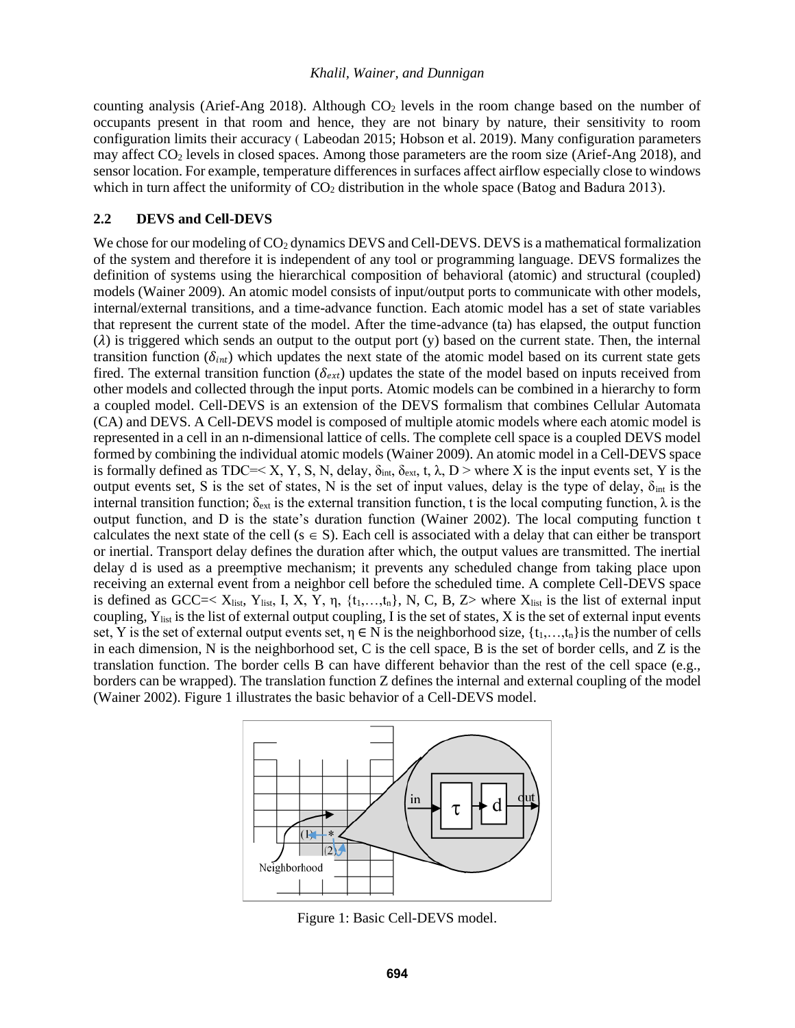counting analysis (Arief-Ang 2018). Although  $CO<sub>2</sub>$  levels in the room change based on the number of occupants present in that room and hence, they are not binary by nature, their sensitivity to room configuration limits their accuracy ( Labeodan 2015; Hobson et al. 2019). Many configuration parameters may affect CO<sup>2</sup> levels in closed spaces. Among those parameters are the room size (Arief-Ang 2018), and sensor location. For example, temperature differences in surfaces affect airflow especially close to windows which in turn affect the uniformity of  $CO<sub>2</sub>$  distribution in the whole space (Batog and Badura 2013).

### **2.2 DEVS and Cell-DEVS**

We chose for our modeling of CO<sub>2</sub> dynamics DEVS and Cell-DEVS. DEVS is a mathematical formalization of the system and therefore it is independent of any tool or programming language. DEVS formalizes the definition of systems using the hierarchical composition of behavioral (atomic) and structural (coupled) models (Wainer 2009). An atomic model consists of input/output ports to communicate with other models, internal/external transitions, and a time-advance function. Each atomic model has a set of state variables that represent the current state of the model. After the time-advance (ta) has elapsed, the output function  $(\lambda)$  is triggered which sends an output to the output port (y) based on the current state. Then, the internal transition function ( $\delta_{int}$ ) which updates the next state of the atomic model based on its current state gets fired. The external transition function ( $\delta_{ext}$ ) updates the state of the model based on inputs received from other models and collected through the input ports. Atomic models can be combined in a hierarchy to form a coupled model. Cell-DEVS is an extension of the DEVS formalism that combines Cellular Automata (CA) and DEVS. A Cell-DEVS model is composed of multiple atomic models where each atomic model is represented in a cell in an n-dimensional lattice of cells. The complete cell space is a coupled DEVS model formed by combining the individual atomic models (Wainer 2009). An atomic model in a Cell-DEVS space is formally defined as TDC=< X, Y, S, N, delay,  $\delta_{int}$ ,  $\delta_{ext}$ , t,  $\lambda$ , D > where X is the input events set, Y is the output events set, S is the set of states, N is the set of input values, delay is the type of delay,  $\delta_{int}$  is the internal transition function;  $\delta_{ext}$  is the external transition function, t is the local computing function,  $\lambda$  is the output function, and D is the state's duration function (Wainer 2002). The local computing function t calculates the next state of the cell ( $s \in S$ ). Each cell is associated with a delay that can either be transport or inertial. Transport delay defines the duration after which, the output values are transmitted. The inertial delay d is used as a preemptive mechanism; it prevents any scheduled change from taking place upon receiving an external event from a neighbor cell before the scheduled time. A complete Cell-DEVS space is defined as GCC=<  $X_{list}$ ,  $Y_{list}$ ,  $I$ ,  $X$ ,  $Y$ ,  $\eta$ ,  $\{t_1,...,t_n\}$ ,  $N$ ,  $C$ ,  $B$ ,  $Z$  where  $X_{list}$  is the list of external input coupling,  $Y_{\text{list}}$  is the list of external output coupling, I is the set of states, X is the set of external input events set, Y is the set of external output events set,  $\eta \in N$  is the neighborhood size,  $\{t_1,...,t_n\}$  is the number of cells in each dimension, N is the neighborhood set, C is the cell space, B is the set of border cells, and Z is the translation function. The border cells B can have different behavior than the rest of the cell space (e.g., borders can be wrapped). The translation function Z defines the internal and external coupling of the model (Wainer 2002). [Figure 1](#page-2-0) illustrates the basic behavior of a Cell-DEVS model.



<span id="page-2-0"></span>Figure 1: Basic Cell-DEVS model.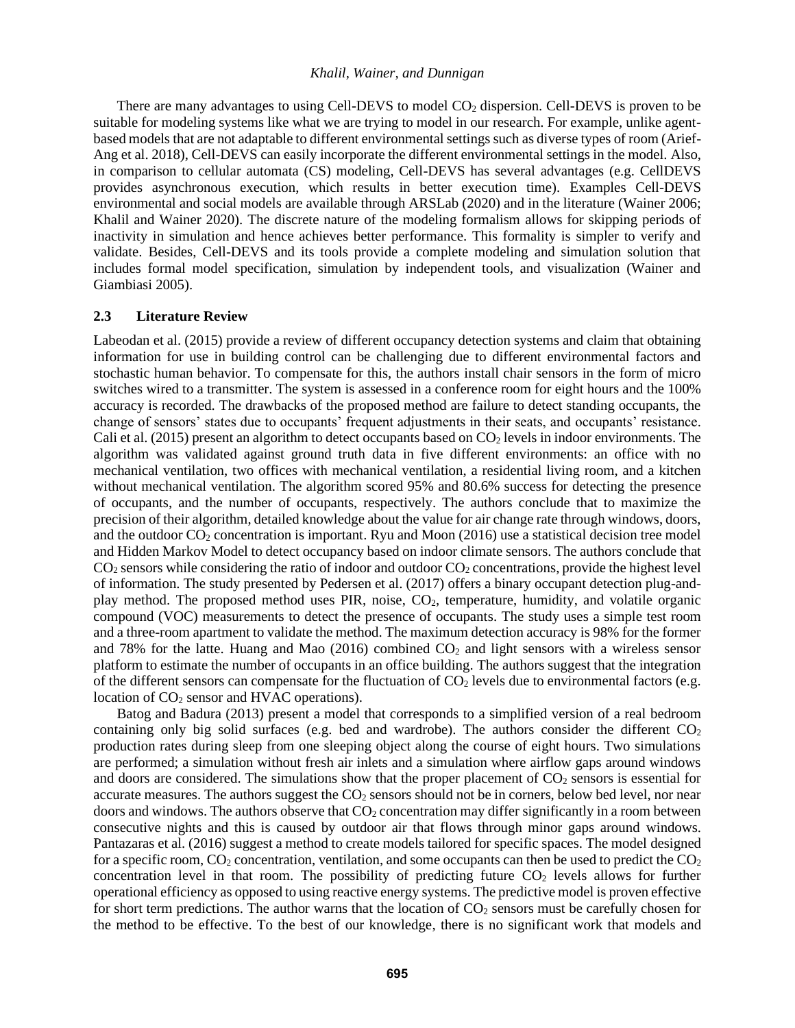There are many advantages to using Cell-DEVS to model CO<sub>2</sub> dispersion. Cell-DEVS is proven to be suitable for modeling systems like what we are trying to model in our research. For example, unlike agentbased models that are not adaptable to different environmental settings such as diverse types of room (Arief-Ang et al. 2018), Cell-DEVS can easily incorporate the different environmental settings in the model. Also, in comparison to cellular automata (CS) modeling, Cell-DEVS has several advantages (e.g. CellDEVS provides asynchronous execution, which results in better execution time). Examples Cell-DEVS environmental and social models are available through ARSLab (2020) and in the literature (Wainer 2006; Khalil and Wainer 2020). The discrete nature of the modeling formalism allows for skipping periods of inactivity in simulation and hence achieves better performance. This formality is simpler to verify and validate. Besides, Cell-DEVS and its tools provide a complete modeling and simulation solution that includes formal model specification, simulation by independent tools, and visualization (Wainer and Giambiasi 2005).

#### **2.3 Literature Review**

Labeodan et al. (2015) provide a review of different occupancy detection systems and claim that obtaining information for use in building control can be challenging due to different environmental factors and stochastic human behavior. To compensate for this, the authors install chair sensors in the form of micro switches wired to a transmitter. The system is assessed in a conference room for eight hours and the 100% accuracy is recorded. The drawbacks of the proposed method are failure to detect standing occupants, the change of sensors' states due to occupants' frequent adjustments in their seats, and occupants' resistance. Cali et al. (2015) present an algorithm to detect occupants based on  $CO<sub>2</sub>$  levels in indoor environments. The algorithm was validated against ground truth data in five different environments: an office with no mechanical ventilation, two offices with mechanical ventilation, a residential living room, and a kitchen without mechanical ventilation. The algorithm scored 95% and 80.6% success for detecting the presence of occupants, and the number of occupants, respectively. The authors conclude that to maximize the precision of their algorithm, detailed knowledge about the value for air change rate through windows, doors, and the outdoor  $CO<sub>2</sub>$  concentration is important. Ryu and Moon (2016) use a statistical decision tree model and Hidden Markov Model to detect occupancy based on indoor climate sensors. The authors conclude that  $CO<sub>2</sub>$  sensors while considering the ratio of indoor and outdoor  $CO<sub>2</sub>$  concentrations, provide the highest level of information. The study presented by Pedersen et al. (2017) offers a binary occupant detection plug-andplay method. The proposed method uses PIR, noise, CO2, temperature, humidity, and volatile organic compound (VOC) measurements to detect the presence of occupants. The study uses a simple test room and a three-room apartment to validate the method. The maximum detection accuracy is 98% for the former and 78% for the latte. Huang and Mao  $(2016)$  combined  $CO<sub>2</sub>$  and light sensors with a wireless sensor platform to estimate the number of occupants in an office building. The authors suggest that the integration of the different sensors can compensate for the fluctuation of  $CO<sub>2</sub>$  levels due to environmental factors (e.g. location of  $CO<sub>2</sub>$  sensor and HVAC operations).

Batog and Badura (2013) present a model that corresponds to a simplified version of a real bedroom containing only big solid surfaces (e.g. bed and wardrobe). The authors consider the different  $CO<sub>2</sub>$ production rates during sleep from one sleeping object along the course of eight hours. Two simulations are performed; a simulation without fresh air inlets and a simulation where airflow gaps around windows and doors are considered. The simulations show that the proper placement of  $CO<sub>2</sub>$  sensors is essential for accurate measures. The authors suggest the  $CO<sub>2</sub>$  sensors should not be in corners, below bed level, nor near doors and windows. The authors observe that  $CO<sub>2</sub>$  concentration may differ significantly in a room between consecutive nights and this is caused by outdoor air that flows through minor gaps around windows. Pantazaras et al. (2016) suggest a method to create models tailored for specific spaces. The model designed for a specific room,  $CO_2$  concentration, ventilation, and some occupants can then be used to predict the  $CO_2$ concentration level in that room. The possibility of predicting future  $CO<sub>2</sub>$  levels allows for further operational efficiency as opposed to using reactive energy systems. The predictive model is proven effective for short term predictions. The author warns that the location of  $CO<sub>2</sub>$  sensors must be carefully chosen for the method to be effective. To the best of our knowledge, there is no significant work that models and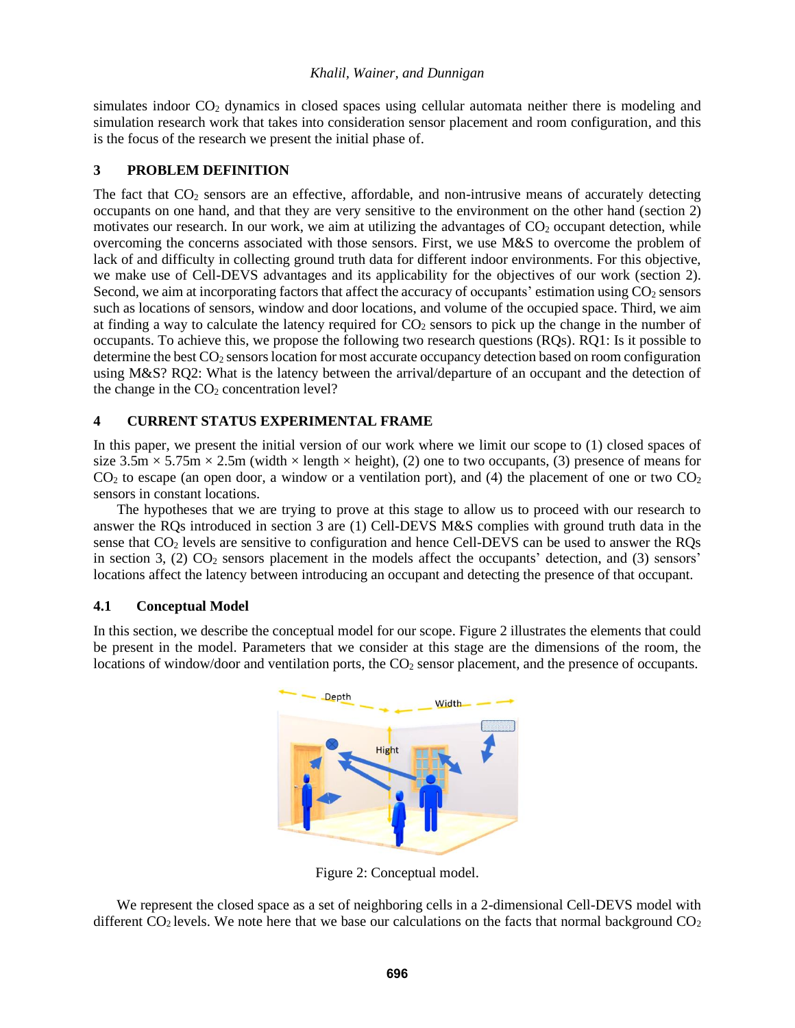simulates indoor CO<sub>2</sub> dynamics in closed spaces using cellular automata neither there is modeling and simulation research work that takes into consideration sensor placement and room configuration, and this is the focus of the research we present the initial phase of.

## **3 PROBLEM DEFINITION**

The fact that  $CO<sub>2</sub>$  sensors are an effective, affordable, and non-intrusive means of accurately detecting occupants on one hand, and that they are very sensitive to the environment on the other hand (section 2) motivates our research. In our work, we aim at utilizing the advantages of  $CO<sub>2</sub>$  occupant detection, while overcoming the concerns associated with those sensors. First, we use M&S to overcome the problem of lack of and difficulty in collecting ground truth data for different indoor environments. For this objective, we make use of Cell-DEVS advantages and its applicability for the objectives of our work (section 2). Second, we aim at incorporating factors that affect the accuracy of occupants' estimation using  $CO_2$  sensors such as locations of sensors, window and door locations, and volume of the occupied space. Third, we aim at finding a way to calculate the latency required for  $CO<sub>2</sub>$  sensors to pick up the change in the number of occupants. To achieve this, we propose the following two research questions (RQs). RQ1: Is it possible to determine the best CO<sub>2</sub> sensors location for most accurate occupancy detection based on room configuration using M&S? RQ2: What is the latency between the arrival/departure of an occupant and the detection of the change in the  $CO<sub>2</sub>$  concentration level?

# **4 CURRENT STATUS EXPERIMENTAL FRAME**

In this paper, we present the initial version of our work where we limit our scope to (1) closed spaces of size  $3.5 \text{m} \times 5.75 \text{m} \times 2.5 \text{m}$  (width  $\times$  length  $\times$  height), (2) one to two occupants, (3) presence of means for  $CO<sub>2</sub>$  to escape (an open door, a window or a ventilation port), and (4) the placement of one or two  $CO<sub>2</sub>$ sensors in constant locations.

The hypotheses that we are trying to prove at this stage to allow us to proceed with our research to answer the RQs introduced in section 3 are (1) Cell-DEVS M&S complies with ground truth data in the sense that CO<sub>2</sub> levels are sensitive to configuration and hence Cell-DEVS can be used to answer the RQs in section 3, (2)  $CO<sub>2</sub>$  sensors placement in the models affect the occupants' detection, and (3) sensors' locations affect the latency between introducing an occupant and detecting the presence of that occupant.

### **4.1 Conceptual Model**

In this section, we describe the conceptual model for our scope[. Figure 2](#page-4-0) illustrates the elements that could be present in the model. Parameters that we consider at this stage are the dimensions of the room, the locations of window/door and ventilation ports, the  $CO<sub>2</sub>$  sensor placement, and the presence of occupants.



Figure 2: Conceptual model.

<span id="page-4-0"></span>We represent the closed space as a set of neighboring cells in a 2-dimensional Cell-DEVS model with different  $CO<sub>2</sub>$  levels. We note here that we base our calculations on the facts that normal background  $CO<sub>2</sub>$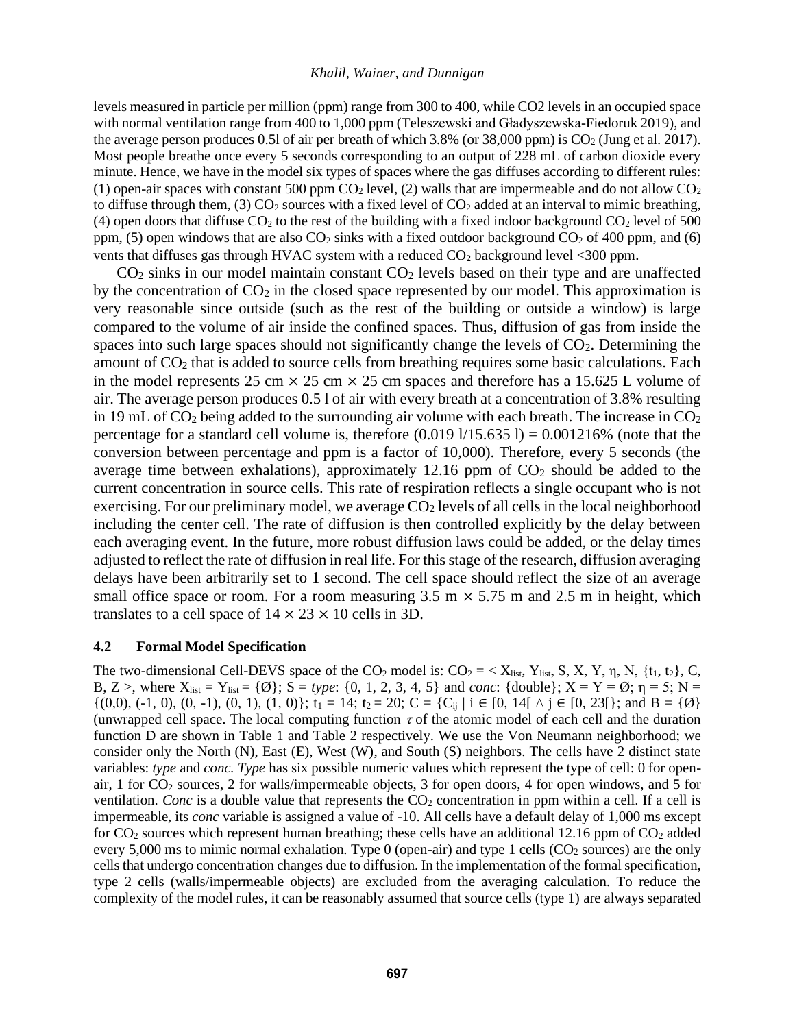levels measured in particle per million (ppm) range from 300 to 400, while CO2 levels in an occupied space with normal ventilation range from 400 to 1,000 ppm (Teleszewski and Gładyszewska-Fiedoruk 2019), and the average person produces 0.5l of air per breath of which 3.8% (or 38,000 ppm) is  $CO<sub>2</sub>$  (Jung et al. 2017). Most people breathe once every 5 seconds corresponding to an output of 228 mL of carbon dioxide every minute. Hence, we have in the model six types of spaces where the gas diffuses according to different rules: (1) open-air spaces with constant 500 ppm  $CO<sub>2</sub>$  level, (2) walls that are impermeable and do not allow  $CO<sub>2</sub>$ to diffuse through them,  $(3)$  CO<sub>2</sub> sources with a fixed level of CO<sub>2</sub> added at an interval to mimic breathing, (4) open doors that diffuse  $CO<sub>2</sub>$  to the rest of the building with a fixed indoor background  $CO<sub>2</sub>$  level of 500 ppm, (5) open windows that are also  $CO<sub>2</sub>$  sinks with a fixed outdoor background  $CO<sub>2</sub>$  of 400 ppm, and (6) vents that diffuses gas through HVAC system with a reduced  $CO<sub>2</sub>$  background level <300 ppm.

 $CO<sub>2</sub>$  sinks in our model maintain constant  $CO<sub>2</sub>$  levels based on their type and are unaffected by the concentration of  $CO<sub>2</sub>$  in the closed space represented by our model. This approximation is very reasonable since outside (such as the rest of the building or outside a window) is large compared to the volume of air inside the confined spaces. Thus, diffusion of gas from inside the spaces into such large spaces should not significantly change the levels of  $CO<sub>2</sub>$ . Determining the amount of  $CO<sub>2</sub>$  that is added to source cells from breathing requires some basic calculations. Each in the model represents 25 cm  $\times$  25 cm  $\times$  25 cm spaces and therefore has a 15.625 L volume of air. The average person produces 0.5 l of air with every breath at a concentration of 3.8% resulting in 19 mL of  $CO<sub>2</sub>$  being added to the surrounding air volume with each breath. The increase in  $CO<sub>2</sub>$ percentage for a standard cell volume is, therefore  $(0.019 \frac{1}{15.635}] = 0.001216\%$  (note that the conversion between percentage and ppm is a factor of 10,000). Therefore, every 5 seconds (the average time between exhalations), approximately  $12.16$  ppm of  $CO<sub>2</sub>$  should be added to the current concentration in source cells. This rate of respiration reflects a single occupant who is not exercising. For our preliminary model, we average  $CO<sub>2</sub>$  levels of all cells in the local neighborhood including the center cell. The rate of diffusion is then controlled explicitly by the delay between each averaging event. In the future, more robust diffusion laws could be added, or the delay times adjusted to reflect the rate of diffusion in real life. For this stage of the research, diffusion averaging delays have been arbitrarily set to 1 second. The cell space should reflect the size of an average small office space or room. For a room measuring  $3.5 \text{ m} \times 5.75 \text{ m}$  and  $2.5 \text{ m}$  in height, which translates to a cell space of  $14 \times 23 \times 10$  cells in 3D.

### <span id="page-5-0"></span>**4.2 Formal Model Specification**

The two-dimensional Cell-DEVS space of the CO<sub>2</sub> model is:  $CO_2 = \langle X_{list}, Y_{list}, S, X, Y, \eta, N, \{t_1, t_2\}, C,$ B, Z >, where  $X_{\text{list}} = Y_{\text{list}} = {\emptyset}$ ;  $S = type: \{0, 1, 2, 3, 4, 5\}$  and *conc*:  ${\text{double}}\}$ ;  $X = Y = \emptyset$ ;  $\eta = 5$ ;  $N =$  $\{(0,0), (-1, 0), (0, -1), (0, 1), (1, 0)\};$   $t_1 = 14$ ;  $t_2 = 20$ ; C =  $\{C_{ij} | i \in [0, 14] \land j \in [0, 23]\};$  and B =  $\{\emptyset\}$ (unwrapped cell space. The local computing function  $\tau$  of the atomic model of each cell and the duration function D are shown in [Table 1](#page-6-0) and [Table 2](#page-6-1) respectively. We use the Von Neumann neighborhood; we consider only the North (N), East (E), West (W), and South (S) neighbors. The cells have 2 distinct state variables: *type* and *conc. Type* has six possible numeric values which represent the type of cell: 0 for openair, 1 for  $CO<sub>2</sub>$  sources, 2 for walls/impermeable objects, 3 for open doors, 4 for open windows, and 5 for ventilation. *Conc* is a double value that represents the  $CO<sub>2</sub>$  concentration in ppm within a cell. If a cell is impermeable, its *conc* variable is assigned a value of -10. All cells have a default delay of 1,000 ms except for  $CO_2$  sources which represent human breathing; these cells have an additional 12.16 ppm of  $CO_2$  added every 5,000 ms to mimic normal exhalation. Type 0 (open-air) and type 1 cells ( $CO<sub>2</sub>$  sources) are the only cells that undergo concentration changes due to diffusion. In the implementation of the formal specification, type 2 cells (walls/impermeable objects) are excluded from the averaging calculation. To reduce the complexity of the model rules, it can be reasonably assumed that source cells (type 1) are always separated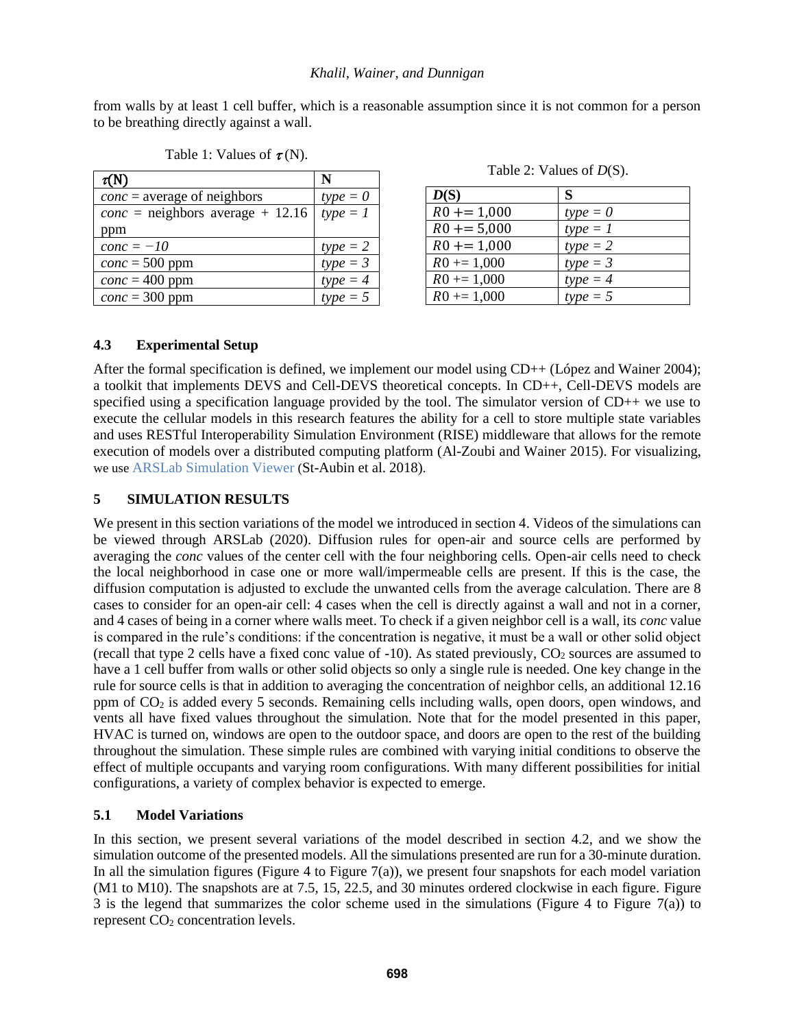from walls by at least 1 cell buffer, which is a reasonable assumption since it is not common for a person to be breathing directly against a wall.

<span id="page-6-0"></span>

| $\tau(N)$                               | N          |
|-----------------------------------------|------------|
| $conc = average of neighbors$           | $type = 0$ |
| <i>conc</i> = neighbors average + 12.16 | $type = 1$ |
| ppm                                     |            |
| $conc = -10$                            | $type = 2$ |
| $conc = 500$ ppm                        | $type = 3$ |
| $conc = 400$ ppm                        | $type = 4$ |
| $conc = 300$ ppm                        | $type = 5$ |

Table 1: Values of  $\tau(N)$ .

Table 2: Values of *D*(S).

<span id="page-6-1"></span>

| D(S)           | S          |
|----------------|------------|
| $R0 + = 1,000$ | $type = 0$ |
| $R0 + = 5,000$ | $type = 1$ |
| $R0 + = 1,000$ | $type = 2$ |
| $R0 + = 1,000$ | $type = 3$ |
| $R0 + = 1,000$ | $type = 4$ |
| $R0 + = 1,000$ | $type = 5$ |

# **4.3 Experimental Setup**

After the formal specification is defined, we implement our model using CD++ (López and Wainer 2004); a toolkit that implements DEVS and Cell-DEVS theoretical concepts. In CD++, Cell-DEVS models are specified using a specification language provided by the tool. The simulator version of CD++ we use to execute the cellular models in this research features the ability for a cell to store multiple state variables and uses RESTful Interoperability Simulation Environment (RISE) middleware that allows for the remote execution of models over a distributed computing platform (Al-Zoubi and Wainer 2015). For visualizing, we use ARSLab Simulation Viewer ([St-Aubin et al. 2018\)](https://simulationeverywhere.github.io/CD-WebViewer-2.0/index.html)[.](https://simulationeverywhere.github.io/CD-WebViewer-2.0/index.html) 

# **5 SIMULATION RESULTS**

We present in this section variations of the model we introduced in section 4. Videos of the simulations can be viewed through ARSLab (2020). Diffusion rules for open-air and source cells are performed by averaging the *conc* values of the center cell with the four neighboring cells. Open-air cells need to check the local neighborhood in case one or more wall/impermeable cells are present. If this is the case, the diffusion computation is adjusted to exclude the unwanted cells from the average calculation. There are 8 cases to consider for an open-air cell: 4 cases when the cell is directly against a wall and not in a corner, and 4 cases of being in a corner where walls meet. To check if a given neighbor cell is a wall, its *conc* value is compared in the rule's conditions: if the concentration is negative, it must be a wall or other solid object (recall that type 2 cells have a fixed conc value of  $-10$ ). As stated previously,  $CO<sub>2</sub>$  sources are assumed to have a 1 cell buffer from walls or other solid objects so only a single rule is needed. One key change in the rule for source cells is that in addition to averaging the concentration of neighbor cells, an additional 12.16 ppm of  $CO<sub>2</sub>$  is added every 5 seconds. Remaining cells including walls, open doors, open windows, and vents all have fixed values throughout the simulation. Note that for the model presented in this paper, HVAC is turned on, windows are open to the outdoor space, and doors are open to the rest of the building throughout the simulation. These simple rules are combined with varying initial conditions to observe the effect of multiple occupants and varying room configurations. With many different possibilities for initial configurations, a variety of complex behavior is expected to emerge.

# **5.1 Model Variations**

In this section, we present several variations of the model described in section [4.2,](#page-5-0) and we show the simulation outcome of the presented models. All the simulations presented are run for a 30-minute duration. In all the simulation figures (Figure 4 to Figure 7(a)), we present four snapshots for each model variation (M1 to M10). The snapshots are at 7.5, 15, 22.5, and 30 minutes ordered clockwise in each figure. Figure 3 is the legend that summarizes the color scheme used in the simulations (Figure 4 to Figure 7(a)) to represent CO<sub>2</sub> concentration levels.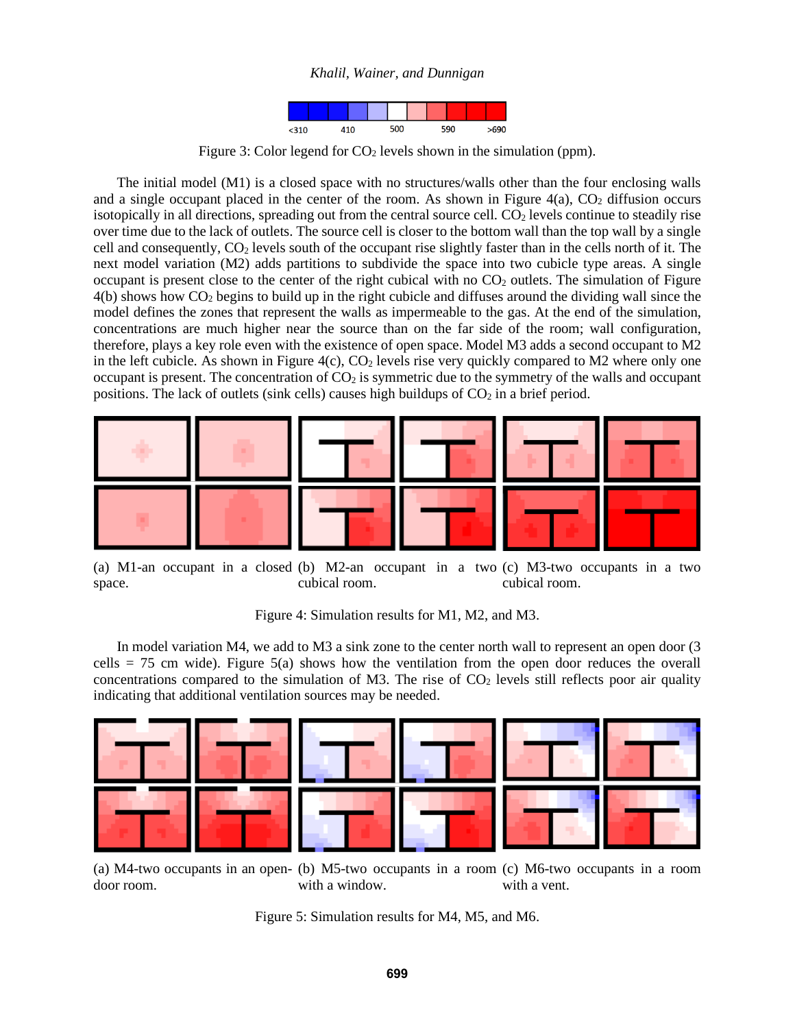

Figure 3: Color legend for  $CO<sub>2</sub>$  levels shown in the simulation (ppm).

The initial model (M1) is a closed space with no structures/walls other than the four enclosing walls and a single occupant placed in the center of the room. As shown in Figure  $4(a)$ ,  $CO<sub>2</sub>$  diffusion occurs isotopically in all directions, spreading out from the central source cell.  $CO<sub>2</sub>$  levels continue to steadily rise over time due to the lack of outlets. The source cell is closer to the bottom wall than the top wall by a single cell and consequently, CO<sub>2</sub> levels south of the occupant rise slightly faster than in the cells north of it. The next model variation (M2) adds partitions to subdivide the space into two cubicle type areas. A single occupant is present close to the center of the right cubical with no  $CO<sub>2</sub>$  outlets. The simulation of Figure 4(b) shows how CO<sup>2</sup> begins to build up in the right cubicle and diffuses around the dividing wall since the model defines the zones that represent the walls as impermeable to the gas. At the end of the simulation, concentrations are much higher near the source than on the far side of the room; wall configuration, therefore, plays a key role even with the existence of open space. Model M3 adds a second occupant to M2 in the left cubicle. As shown in Figure  $4(c)$ ,  $CO<sub>2</sub>$  levels rise very quickly compared to M2 where only one occupant is present. The concentration of  $CO<sub>2</sub>$  is symmetric due to the symmetry of the walls and occupant positions. The lack of outlets (sink cells) causes high buildups of  $CO<sub>2</sub>$  in a brief period.



(a) M1-an occupant in a closed (b) M2-an occupant in a two (c) M3-two occupants in a two space. cubical room. cubical room.

Figure 4: Simulation results for M1, M2, and M3.

In model variation M4, we add to M3 a sink zone to the center north wall to represent an open door (3 cells = 75 cm wide). Figure 5(a) shows how the ventilation from the open door reduces the overall concentrations compared to the simulation of M3. The rise of  $CO<sub>2</sub>$  levels still reflects poor air quality indicating that additional ventilation sources may be needed.



(a) M4-two occupants in an open-(b) M5-two occupants in a room (c) M6-two occupants in a room door room. with a window. with a vent.

Figure 5: Simulation results for M4, M5, and M6.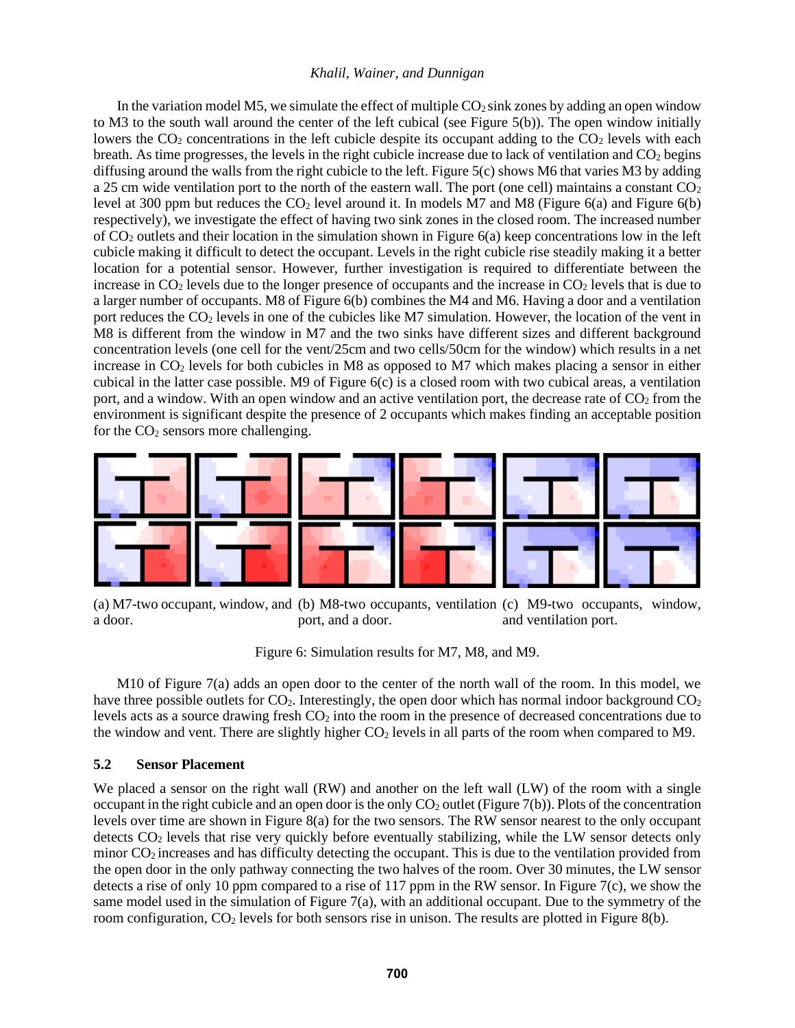In the variation model M5, we simulate the effect of multiple  $CO<sub>2</sub>$  sink zones by adding an open window to M3 to the south wall around the center of the left cubical (see Figure 5(b)). The open window initially lowers the  $CO<sub>2</sub>$  concentrations in the left cubicle despite its occupant adding to the  $CO<sub>2</sub>$  levels with each breath. As time progresses, the levels in the right cubicle increase due to lack of ventilation and  $CO<sub>2</sub>$  begins diffusing around the walls from the right cubicle to the left. Figure 5(c) shows M6 that varies M3 by adding a 25 cm wide ventilation port to the north of the eastern wall. The port (one cell) maintains a constant  $CO<sub>2</sub>$ level at 300 ppm but reduces the  $CO<sub>2</sub>$  level around it. In models M7 and M8 (Figure 6(a) and Figure 6(b) respectively), we investigate the effect of having two sink zones in the closed room. The increased number of  $CO<sub>2</sub>$  outlets and their location in the simulation shown in Figure 6(a) keep concentrations low in the left cubicle making it difficult to detect the occupant. Levels in the right cubicle rise steadily making it a better location for a potential sensor. However, further investigation is required to differentiate between the increase in  $CO<sub>2</sub>$  levels due to the longer presence of occupants and the increase in  $CO<sub>2</sub>$  levels that is due to a larger number of occupants. M8 of Figure 6(b) combines the M4 and M6. Having a door and a ventilation port reduces the  $CO<sub>2</sub>$  levels in one of the cubicles like M7 simulation. However, the location of the vent in M8 is different from the window in M7 and the two sinks have different sizes and different background concentration levels (one cell for the vent/25cm and two cells/50cm for the window) which results in a net increase in  $CO<sub>2</sub>$  levels for both cubicles in M8 as opposed to M7 which makes placing a sensor in either cubical in the latter case possible. M9 of Figure 6(c) is a closed room with two cubical areas, a ventilation port, and a window. With an open window and an active ventilation port, the decrease rate of  $CO<sub>2</sub>$  from the environment is significant despite the presence of 2 occupants which makes finding an acceptable position for the  $CO<sub>2</sub>$  sensors more challenging.



(a) M7-two occupant, window, and (b) M8-two occupants, ventilation (c) M9-two occupants, window, a door. port, and a door. and ventilation port.

Figure 6: Simulation results for M7, M8, and M9.

M10 of Figure 7(a) adds an open door to the center of the north wall of the room. In this model, we have three possible outlets for  $CO<sub>2</sub>$ . Interestingly, the open door which has normal indoor background  $CO<sub>2</sub>$ levels acts as a source drawing fresh  $CO<sub>2</sub>$  into the room in the presence of decreased concentrations due to the window and vent. There are slightly higher  $CO<sub>2</sub>$  levels in all parts of the room when compared to M9.

### **5.2 Sensor Placement**

We placed a sensor on the right wall (RW) and another on the left wall (LW) of the room with a single occupant in the right cubicle and an open door is the only  $CO<sub>2</sub>$  outlet (Figure 7(b)). Plots of the concentration levels over time are shown in Figure 8(a) for the two sensors. The RW sensor nearest to the only occupant detects CO<sup>2</sup> levels that rise very quickly before eventually stabilizing, while the LW sensor detects only minor CO2 increases and has difficulty detecting the occupant. This is due to the ventilation provided from the open door in the only pathway connecting the two halves of the room. Over 30 minutes, the LW sensor detects a rise of only 10 ppm compared to a rise of 117 ppm in the RW sensor. In Figure 7(c), we show the same model used in the simulation of Figure 7(a), with an additional occupant. Due to the symmetry of the room configuration,  $CO<sub>2</sub>$  levels for both sensors rise in unison. The results are plotted in Figure 8(b).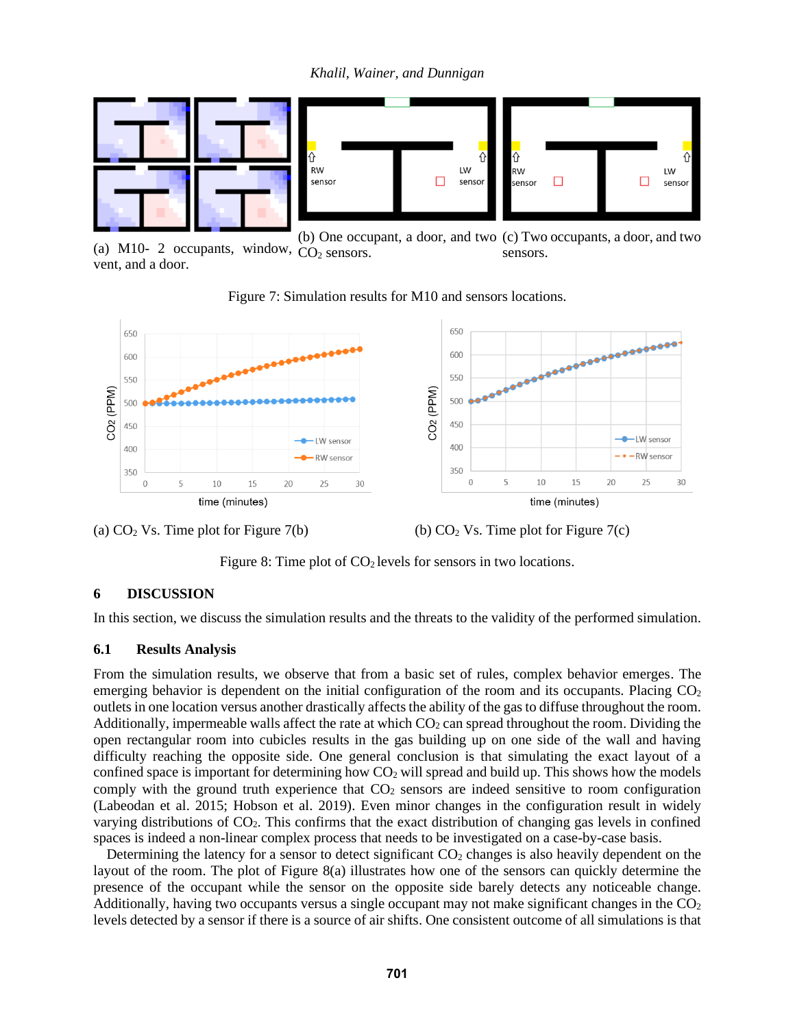*Khalil, Wainer, and Dunnigan*



(a) M10- 2 occupants, window,  $CO<sub>2</sub>$  sensors. vent, and a door. (b) One occupant, a door, and two (c) Two occupants, a door, and two sensors.







Figure 8: Time plot of  $CO<sub>2</sub>$  levels for sensors in two locations.

### **6 DISCUSSION**

In this section, we discuss the simulation results and the threats to the validity of the performed simulation.

### **6.1 Results Analysis**

From the simulation results, we observe that from a basic set of rules, complex behavior emerges. The emerging behavior is dependent on the initial configuration of the room and its occupants. Placing  $CO<sub>2</sub>$ outlets in one location versus another drastically affects the ability of the gas to diffuse throughout the room. Additionally, impermeable walls affect the rate at which  $CO<sub>2</sub>$  can spread throughout the room. Dividing the open rectangular room into cubicles results in the gas building up on one side of the wall and having difficulty reaching the opposite side. One general conclusion is that simulating the exact layout of a confined space is important for determining how  $CO<sub>2</sub>$  will spread and build up. This shows how the models comply with the ground truth experience that  $CO<sub>2</sub>$  sensors are indeed sensitive to room configuration (Labeodan et al. 2015; Hobson et al. 2019). Even minor changes in the configuration result in widely varying distributions of CO2. This confirms that the exact distribution of changing gas levels in confined spaces is indeed a non-linear complex process that needs to be investigated on a case-by-case basis.

Determining the latency for a sensor to detect significant  $CO<sub>2</sub>$  changes is also heavily dependent on the layout of the room. The plot of Figure 8(a) illustrates how one of the sensors can quickly determine the presence of the occupant while the sensor on the opposite side barely detects any noticeable change. Additionally, having two occupants versus a single occupant may not make significant changes in the  $CO<sub>2</sub>$ levels detected by a sensor if there is a source of air shifts. One consistent outcome of all simulations is that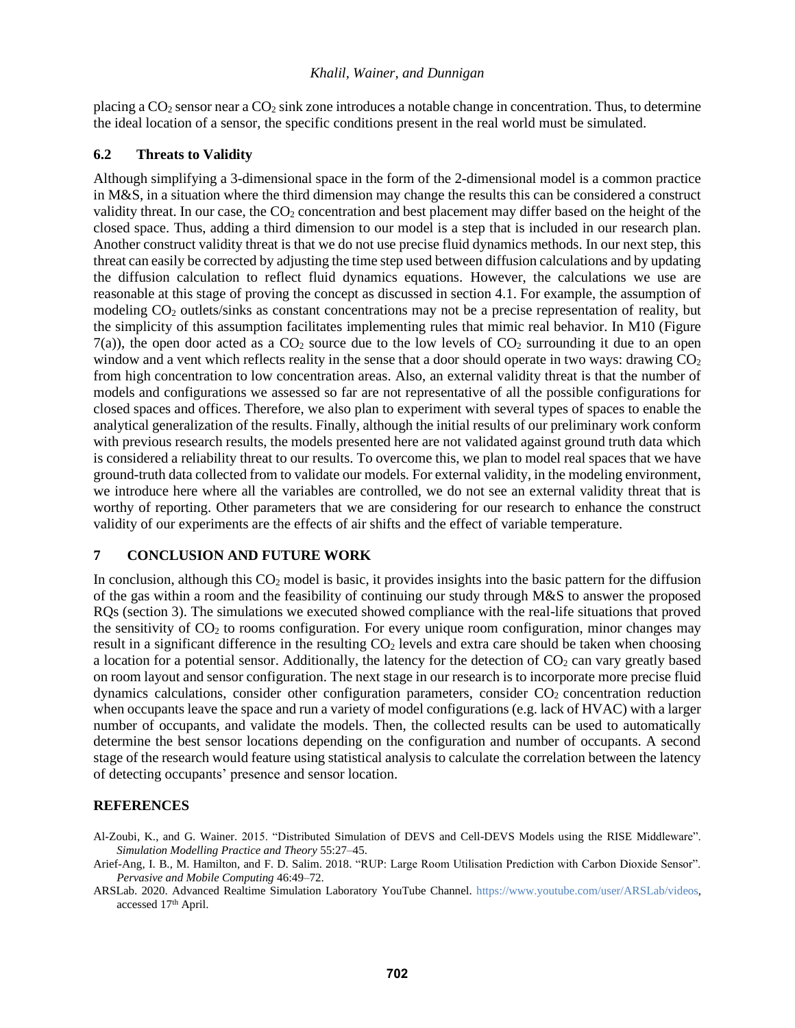placing a CO<sub>2</sub> sensor near a CO<sub>2</sub> sink zone introduces a notable change in concentration. Thus, to determine the ideal location of a sensor, the specific conditions present in the real world must be simulated.

### **6.2 Threats to Validity**

Although simplifying a 3-dimensional space in the form of the 2-dimensional model is a common practice in M&S, in a situation where the third dimension may change the results this can be considered a construct validity threat. In our case, the  $CO<sub>2</sub>$  concentration and best placement may differ based on the height of the closed space. Thus, adding a third dimension to our model is a step that is included in our research plan. Another construct validity threat is that we do not use precise fluid dynamics methods. In our next step, this threat can easily be corrected by adjusting the time step used between diffusion calculations and by updating the diffusion calculation to reflect fluid dynamics equations. However, the calculations we use are reasonable at this stage of proving the concept as discussed in section 4.1. For example, the assumption of modeling CO<sub>2</sub> outlets/sinks as constant concentrations may not be a precise representation of reality, but the simplicity of this assumption facilitates implementing rules that mimic real behavior. In M10 (Figure  $7(a)$ ), the open door acted as a CO<sub>2</sub> source due to the low levels of CO<sub>2</sub> surrounding it due to an open window and a vent which reflects reality in the sense that a door should operate in two ways: drawing  $CO<sub>2</sub>$ from high concentration to low concentration areas. Also, an external validity threat is that the number of models and configurations we assessed so far are not representative of all the possible configurations for closed spaces and offices. Therefore, we also plan to experiment with several types of spaces to enable the analytical generalization of the results. Finally, although the initial results of our preliminary work conform with previous research results, the models presented here are not validated against ground truth data which is considered a reliability threat to our results. To overcome this, we plan to model real spaces that we have ground-truth data collected from to validate our models. For external validity, in the modeling environment, we introduce here where all the variables are controlled, we do not see an external validity threat that is worthy of reporting. Other parameters that we are considering for our research to enhance the construct validity of our experiments are the effects of air shifts and the effect of variable temperature.

# **7 CONCLUSION AND FUTURE WORK**

In conclusion, although this  $CO<sub>2</sub>$  model is basic, it provides insights into the basic pattern for the diffusion of the gas within a room and the feasibility of continuing our study through M&S to answer the proposed RQs (section 3). The simulations we executed showed compliance with the real-life situations that proved the sensitivity of  $CO<sub>2</sub>$  to rooms configuration. For every unique room configuration, minor changes may result in a significant difference in the resulting  $CO<sub>2</sub>$  levels and extra care should be taken when choosing a location for a potential sensor. Additionally, the latency for the detection of  $CO<sub>2</sub>$  can vary greatly based on room layout and sensor configuration. The next stage in our research is to incorporate more precise fluid dynamics calculations, consider other configuration parameters, consider  $CO<sub>2</sub>$  concentration reduction when occupants leave the space and run a variety of model configurations (e.g. lack of HVAC) with a larger number of occupants, and validate the models. Then, the collected results can be used to automatically determine the best sensor locations depending on the configuration and number of occupants. A second stage of the research would feature using statistical analysis to calculate the correlation between the latency of detecting occupants' presence and sensor location.

# **REFERENCES**

Al-Zoubi, K., and G. Wainer. 2015. "Distributed Simulation of DEVS and Cell-DEVS Models using the RISE Middleware". *Simulation Modelling Practice and Theory* 55:27–45.

Arief-Ang, I. B., M. Hamilton, and F. D. Salim. 2018. "RUP: Large Room Utilisation Prediction with Carbon Dioxide Sensor". *Pervasive and Mobile Computing* 46:49–72.

ARSLab. 2020. Advanced Realtime Simulation Laboratory YouTube Channel. [https://www.youtube.com/user/ARSLab/videos,](https://www.youtube.com/user/ARSLab/videos) accessed 17th April.